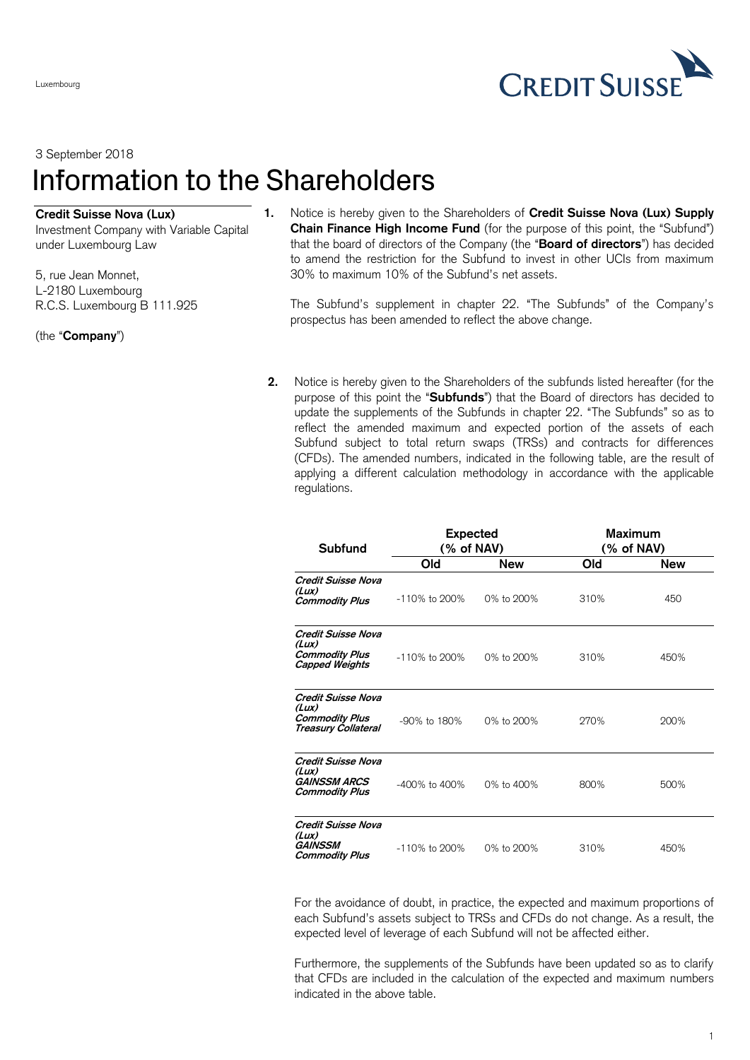**CREDIT SUISS** 

## 3 September 2018 Information to the Shareholders

## **Credit Suisse Nova (Lux)**

Investment Company with Variable Capital under Luxembourg Law

5, rue Jean Monnet, L-2180 Luxembourg R.C.S. Luxembourg B 111.925

(the "**Company**")

Luxembourg

**1.** Notice is hereby given to the Shareholders of **Credit Suisse Nova (Lux) Supply Chain Finance High Income Fund** (for the purpose of this point, the "Subfund") that the board of directors of the Company (the "**Board of directors**") has decided to amend the restriction for the Subfund to invest in other UCIs from maximum 30% to maximum 10% of the Subfund's net assets.

The Subfund's supplement in chapter 22. "The Subfunds" of the Company's prospectus has been amended to reflect the above change.

**2.** Notice is hereby given to the Shareholders of the subfunds listed hereafter (for the purpose of this point the "**Subfunds**") that the Board of directors has decided to update the supplements of the Subfunds in chapter 22. "The Subfunds" so as to reflect the amended maximum and expected portion of the assets of each Subfund subject to total return swaps (TRSs) and contracts for differences (CFDs). The amended numbers, indicated in the following table, are the result of applying a different calculation methodology in accordance with the applicable regulations.

| Subfund                                                                            | <b>Expected</b><br>(% of NAV) |            | <b>Maximum</b><br>(% of NAV) |            |
|------------------------------------------------------------------------------------|-------------------------------|------------|------------------------------|------------|
|                                                                                    | Old                           | New        | Old                          | <b>New</b> |
| Credit Suisse Nova<br>(Lux)<br><b>Commodity Plus</b>                               | $-110\%$ to 200%              | 0% to 200% | 310%                         | 450        |
| Credit Suisse Nova<br>(Lux)<br><b>Commodity Plus</b><br><b>Capped Weights</b>      | $-110\%$ to 200%              | 0% to 200% | 310%                         | 450%       |
| Credit Suisse Nova<br>(Lux)<br><b>Commodity Plus</b><br><b>Treasury Collateral</b> | $-90\%$ to 180%               | 0% to 200% | 270%                         | 200%       |
| Credit Suisse Nova<br>(lux)<br><b>GAINSSM ARCS</b><br><b>Commodity Plus</b>        | $-400\%$ to $400\%$           | 0% to 400% | 800%                         | 500%       |
| <b>Credit Suisse Nova</b><br>(Lux)<br>GAINSSM<br><b>Commodity Plus</b>             | $-110\%$ to 200%              | 0% to 200% | 310%                         | 450%       |

For the avoidance of doubt, in practice, the expected and maximum proportions of each Subfund's assets subject to TRSs and CFDs do not change. As a result, the expected level of leverage of each Subfund will not be affected either.

Furthermore, the supplements of the Subfunds have been updated so as to clarify that CFDs are included in the calculation of the expected and maximum numbers indicated in the above table.